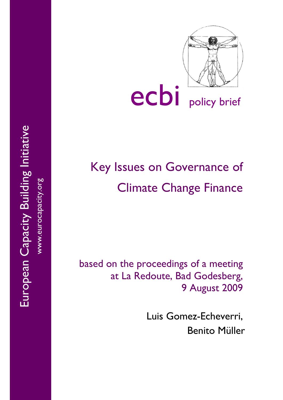

# ecbi policy brief

# Key Issues on Governance of Climate Change Finance

based on the proceedings of a meeting at La Redoute, Bad Godesberg, 9 August 2009

> Luis Gomez-Echeverri, Benito Müller

European Capacity Building Initiative European Capacity Building Initiative www.eurocapacity.org www.eurocapacity.org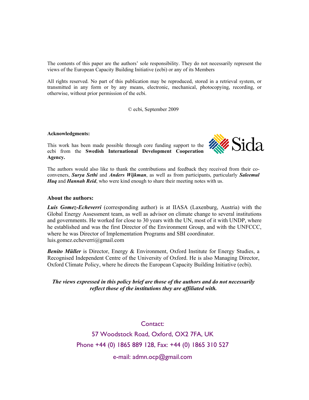The contents of this paper are the authors' sole responsibility. They do not necessarily represent the views of the European Capacity Building Initiative (ecbi) or any of its Members

All rights reserved. No part of this publication may be reproduced, stored in a retrieval system, or transmitted in any form or by any means, electronic, mechanical, photocopying, recording, or otherwise, without prior permission of the ecbi.

© ecbi, September 2009

#### **Acknowledgments:**

This work has been made possible through core funding support to the ecbi from the **Swedish International Development Cooperation Agency.** 



The authors would also like to thank the contributions and feedback they received from their coconveners, *Surya Sethi* and *Anders Wijkman*, as well as from participants, particularly *Saleemul Huq* and *Hannah Reid*, who were kind enough to share their meeting notes with us.

#### **About the authors:**

*Luis Gomez-Echeverri* (corresponding author) is at IIASA (Laxenburg, Austria) with the Global Energy Assessment team, as well as advisor on climate change to several institutions and governments. He worked for close to 30 years with the UN, most of it with UNDP, where he established and was the first Director of the Environment Group, and with the UNFCCC, where he was Director of Implementation Programs and SBI coordinator. luis.gomez.echeverri@gmail.com

*Benito Müller* is Director, Energy & Environment, Oxford Institute for Energy Studies, a Recognised Independent Centre of the University of Oxford. He is also Managing Director, Oxford Climate Policy, where he directs the European Capacity Building Initiative (ecbi).

#### *The views expressed in this policy brief are those of the authors and do not necessarily reflect those of the institutions they are affiliated with.*

Contact:

57 Woodstock Road, Oxford, OX2 7FA, UK Phone +44 (0) 1865 889 128, Fax: +44 (0) 1865 310 527

e-mail: admn.ocp@gmail.com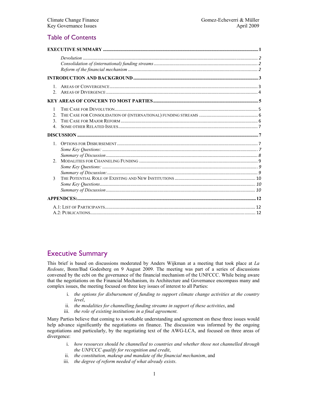# Table of Contents

| $\mathbf{1}$<br>$\mathfrak{D}$                         |  |
|--------------------------------------------------------|--|
|                                                        |  |
| 1<br>$\mathfrak{D}$<br>$\mathcal{E}$<br>$\overline{4}$ |  |
|                                                        |  |
| $1 \quad$<br>$2^{\circ}$                               |  |
| 3                                                      |  |
|                                                        |  |
|                                                        |  |

# Executive Summary

This brief is based on discussions moderated by Anders Wijkman at a meeting that took place at *La Redoute*, Bonn/Bad Godesberg on 9 August 2009. The meeting was part of a series of discussions convened by the ecbi on the governance of the financial mechanism of the UNFCCC. While being aware that the negotiations on the Financial Mechanism, its Architecture and Governance encompass many and complex issues, the meeting focused on three key issues of interest to all Parties:

- i. *the options for disbursement of funding to support climate change activities at the country level*,
- ii. *the modalities for channelling funding streams in support of these activities*, and
- iii. *the role of existing institutions in a final agreement*.

Many Parties believe that coming to a workable understanding and agreement on these three issues would help advance significantly the negotiations on finance. The discussion was informed by the ongoing negotiations and particularly, by the negotiating text of the AWG-LCA, and focused on three areas of divergence:

- i. *how resources should be channelled to countries and whether those not channelled through the UNFCCC qualify for recognition and credit*,
- ii. *the constitution, makeup and mandate of the financial mechanism*, and
- iii. *the degree of reform needed of what already exists*.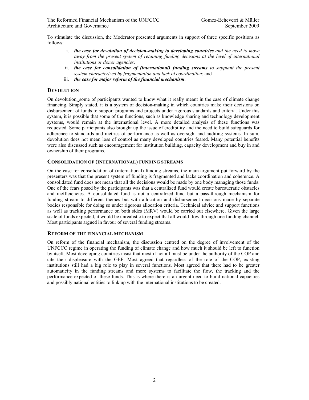To stimulate the discussion, the Moderator presented arguments in support of three specific positions as follows:

- i. *the case for devolution of decision-making to developing countries and the need to move away from the present system of retaining funding decisions at the level of international institutions or donor agencies;*
- ii. *the case for consolidation of (international) funding streams to supplant the present system characterized by fragmentation and lack of coordination*; and
- iii. *the case for major reform of the financial mechanism*.

#### **DEVOLUTION**

On devolution, some of participants wanted to know what it really meant in the case of climate change financing. Simply stated, it is a system of decision-making in which countries make their decisions on disbursement of funds to support programs and projects under rigorous standards and criteria. Under this system, it is possible that some of the functions, such as knowledge sharing and technology development systems, would remain at the international level. A more detailed analysis of these functions was requested. Some participants also brought up the issue of credibility and the need to build safeguards for adherence to standards and metrics of performance as well as oversight and auditing systems. In sum, devolution does not mean loss of control as many developed countries feared. Many potential benefits were also discussed such as encouragement for institution building, capacity development and buy in and ownership of their programs.

#### **CONSOLIDATION OF (INTERNATIONAL) FUNDING STREAMS**

On the case for consolidation of (international) funding streams, the main argument put forward by the presenters was that the present system of funding is fragmented and lacks coordination and coherence. A consolidated fund does not mean that all the decisions would be made by one body managing those funds. One of the fears posed by the participants was that a centralized fund would create bureaucratic obstacles and inefficiencies. A consolidated fund is not a centralized fund but a pass-through mechanism for funding stream to different themes but with allocation and disbursement decisions made by separate bodies responsible for doing so under rigorous allocation criteria. Technical advice and support functions as well as tracking performance on both sides (MRV) would be carried out elsewhere. Given the large scale of funds expected, it would be unrealistic to expect that all would flow through one funding channel. Most participants argued in favour of several funding streams.

#### **REFORM OF THE FINANCIAL MECHANISM**

On reform of the financial mechanism, the discussion centred on the degree of involvement of the UNFCCC regime in operating the funding of climate change and how much it should be left to function by itself. Most developing countries insist that most if not all must be under the authority of the COP and cite their displeasure with the GEF. Most agreed that regardless of the role of the COP, existing institutions still had a big role to play in several functions. Most agreed that there had to be greater automaticity in the funding streams and more systems to facilitate the flow, the tracking and the performance expected of these funds. This is where there is an urgent need to build national capacities and possibly national entities to link up with the international institutions to be created.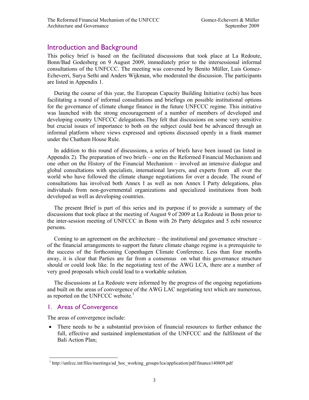# Introduction and Background

This policy brief is based on the facilitated discussions that took place at La Redoute, Bonn/Bad Godesberg on 9 August 2009, immediately prior to the intersessional informal consultations of the UNFCCC. The meeting was convened by Benito Müller, Luis Gomez-Echeverri, Surya Sethi and Anders Wijkman, who moderated the discussion. The participants are listed in Appendix 1.

During the course of this year, the European Capacity Building Initiative (ecbi) has been facilitating a round of informal consultations and briefings on possible institutional options for the governance of climate change finance in the future UNFCCC regime. This initiative was launched with the strong encouragement of a number of members of developed and developing country UNFCCC delegations.They felt that discussions on some very sensitive but crucial issues of importance to both on the subject could best be advanced through an informal platform where views expressed and options discussed openly in a frank manner under the Chatham House Rule.

In addition to this round of discussions, a series of briefs have been issued (as listed in Appendix 2). The preparation of two briefs – one on the Reformed Financial Mechanism and one other on the History of the Financial Mechanism – involved an intensive dialogue and global consultations with specialists, international lawyers, and experts from all over the world who have followed the climate change negotiations for over a decade. The round of consultations has involved both Annex I as well as non Annex I Party delegations, plus individuals from non-governmental organizations and specialized institutions from both developed as well as developing countries.

The present Brief is part of this series and its purpose if to provide a summary of the discussions that took place at the meeting of August 9 of 2009 at La Redoute in Bonn prior to the inter-session meeting of UNFCCC in Bonn with 26 Party delegates and 5 ecbi resource persons.

Coming to an agreement on the architecture – the institutional and governance structure – of the financial arrangements to support the future climate change regime is a prerequisite to the success of the forthcoming Copenhagen Climate Conference. Less than four months away, it is clear that Parties are far from a consensus on what this governance structure should or could look like. In the negotiating text of the AWG LCA, there are a number of very good proposals which could lead to a workable solution.

The discussions at La Redoute were informed by the progress of the ongoing negotiations and built on the areas of convergence of the AWG LAC negotiating text which are numerous, as reported on the UNFCCC website.<sup>1</sup>

#### 1. Areas of Convergence

The areas of convergence include:

• There needs to be a substantial provision of financial resources to further enhance the full, effective and sustained implementation of the UNFCCC and the fulfilment of the Bali Action Plan;

 $\overline{a}$ <sup>1</sup> http://unfccc.int/files/meetings/ad\_hoc\_working\_groups/lca/application/pdf/finance140809.pdf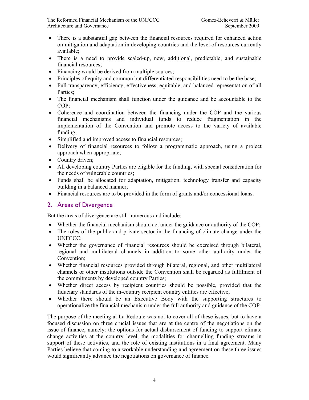The Reformed Financial Mechanism of the UNFCCC Gomez-Echeverri & Müller Architecture and Governance September 2009

- There is a substantial gap between the financial resources required for enhanced action on mitigation and adaptation in developing countries and the level of resources currently available;
- There is a need to provide scaled-up, new, additional, predictable, and sustainable financial resources;
- Financing would be derived from multiple sources;
- Principles of equity and common but differentiated responsibilities need to be the base;
- Full transparency, efficiency, effectiveness, equitable, and balanced representation of all Parties;
- The financial mechanism shall function under the guidance and be accountable to the COP;
- Coherence and coordination between the financing under the COP and the various financial mechanisms and individual funds to reduce fragmentation in the implementation of the Convention and promote access to the variety of available funding;
- Simplified and improved access to financial resources;
- Delivery of financial resources to follow a programmatic approach, using a project approach when appropriate;
- Country driven;
- All developing country Parties are eligible for the funding, with special consideration for the needs of vulnerable countries;
- Funds shall be allocated for adaptation, mitigation, technology transfer and capacity building in a balanced manner;
- Financial resources are to be provided in the form of grants and/or concessional loans.

#### 2. Areas of Divergence

But the areas of divergence are still numerous and include:

- Whether the financial mechanism should act under the guidance or authority of the COP;
- The roles of the public and private sector in the financing of climate change under the UNFCCC;
- Whether the governance of financial resources should be exercised through bilateral, regional and multilateral channels in addition to some other authority under the Convention;
- Whether financial resources provided through bilateral, regional, and other multilateral channels or other institutions outside the Convention shall be regarded as fulfilment of the commitments by developed country Parties;
- Whether direct access by recipient countries should be possible, provided that the fiduciary standards of the in-country recipient country entities are effective;
- Whether there should be an Executive Body with the supporting structures to operationalize the financial mechanism under the full authority and guidance of the COP.

The purpose of the meeting at La Redoute was not to cover all of these issues, but to have a focused discussion on three crucial issues that are at the centre of the negotiations on the issue of finance, namely: the options for actual disbursement of funding to support climate change activities at the country level, the modalities for channelling funding streams in support of these activities, and the role of existing institutions in a final agreement. Many Parties believe that coming to a workable understanding and agreement on these three issues would significantly advance the negotiations on governance of finance.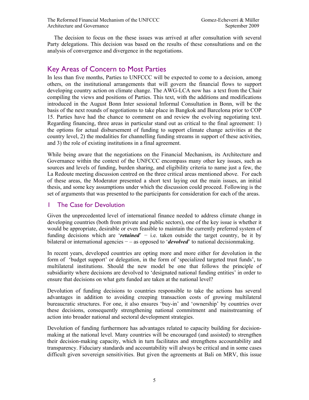The decision to focus on the these issues was arrived at after consultation with several Party delegations. This decision was based on the results of these consultations and on the analysis of convergence and divergence in the negotiations.

# Key Areas of Concern to Most Parties

In less than five months, Parties to UNFCCC will be expected to come to a decision, among others, on the institutional arrangements that will govern the financial flows to support developing country action on climate change. The AWG-LCA now has a text from the Chair compiling the views and positions of Parties. This text, with the additions and modifications introduced in the August Bonn Inter sessional Informal Consultation in Bonn, will be the basis of the next rounds of negotiations to take place in Bangkok and Barcelona prior to COP 15. Parties have had the chance to comment on and review the evolving negotiating text. Regarding financing, three areas in particular stand out as critical to the final agreement: 1) the options for actual disbursement of funding to support climate change activities at the country level, 2) the modalities for channelling funding streams in support of these activities, and 3) the role of existing institutions in a final agreement.

While being aware that the negotiations on the Financial Mechanism, its Architecture and Governance within the context of the UNFCCC encompass many other key issues, such as sources and levels of funding, burden sharing, and eligibility criteria to name just a few, the La Redoute meeting discussion centred on the three critical areas mentioned above. For each of these areas, the Moderator presented a short text laying out the main issues, an initial thesis, and some key assumptions under which the discussion could proceed. Following is the set of arguments that was presented to the participants for consideration for each of the areas.

# 1 The Case for Devolution

Given the unprecedented level of international finance needed to address climate change in developing countries (both from private and public sectors), one of the key issue is whether it would be appropriate, desirable or even feasible to maintain the currently preferred system of funding decisions which are '*retained*' − i.e. taken outside the target country, be it by bilateral or international agencies − – as opposed to '*devolved*' to national decisionmaking.

In recent years, developed countries are opting more and more either for devolution in the form of 'budget support' or delegation, in the form of 'specialized targeted trust funds', to multilateral institutions. Should the new model be one that follows the principle of subsidiarity where decisions are devolved to 'designated national funding entities' in order to ensure that decisions on what gets funded are taken at the national level?

Devolution of funding decisions to countries responsible to take the actions has several advantages in addition to avoiding creeping transaction costs of growing multilateral bureaucratic structures. For one, it also ensures 'buy-in' and 'ownership' by countries over these decisions, consequently strengthening national commitment and mainstreaming of action into broader national and sectoral development strategies.

Devolution of funding furthermore has advantages related to capacity building for decisionmaking at the national level. Many countries will be encouraged (and assisted) to strengthen their decision-making capacity, which in turn facilitates and strengthens accountability and transparency. Fiduciary standards and accountability will always be critical and in some cases difficult given sovereign sensitivities. But given the agreements at Bali on MRV, this issue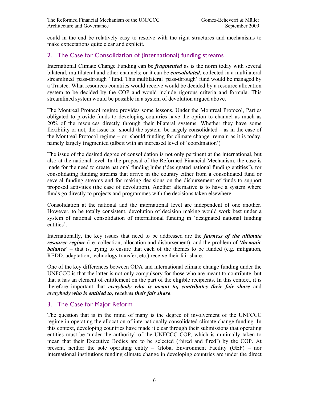could in the end be relatively easy to resolve with the right structures and mechanisms to make expectations quite clear and explicit.

# 2. The Case for Consolidation of (international) funding streams

International Climate Change Funding can be *fragmented* as is the norm today with several bilateral, multilateral and other channels; or it can be *consolidated*, collected in a multilateral streamlined 'pass-through ' fund. This multilateral 'pass-through' fund would be managed by a Trustee. What resources countries would receive would be decided by a resource allocation system to be decided by the COP and would include rigorous criteria and formula. This streamlined system would be possible in a system of devolution argued above.

The Montreal Protocol regime provides some lessons. Under the Montreal Protocol, Parties obligated to provide funds to developing countries have the option to channel as much as 20% of the resources directly through their bilateral systems. Whether they have some flexibility or not, the issue is: should the system be largely consolidated – as in the case of the Montreal Protocol regime – or should funding for climate change remain as it is today, namely largely fragmented (albeit with an increased level of 'coordination')

The issue of the desired degree of consolidation is not only pertinent at the international, but also at the national level. In the proposal of the Reformed Financial Mechanism, the case is made for the need to create national funding hubs ('designated national funding entities'), for consolidating funding streams that arrive in the country either from a consolidated fund or several funding streams and for making decisions on the disbursement of funds to support proposed activities (the case of devolution). Another alternative is to have a system where funds go directly to projects and programmes with the decisions taken elsewhere.

Consolidation at the national and the international level are independent of one another. However, to be totally consistent, devolution of decision making would work best under a system of national consolidation of international funding in 'designated national funding entities'.

Internationally, the key issues that need to be addressed are the *fairness of the ultimate resource regime* (i.e. collection, allocation and disbursement), and the problem of '*thematic balance*' – that is, trying to ensure that each of the themes to be funded (e.g. mitigation, REDD, adaptation, technology transfer, etc.) receive their fair share.

One of the key differences between ODA and international climate change funding under the UNFCCC is that the latter is not only compulsory for those who are meant to contribute, but that it has an element of entitlement on the part of the eligible recipients. In this context, it is therefore important that *everybody who is meant to, contributes their fair share* and *everybody who is entitled to, receives their fair share*.

# 3. The Case for Major Reform

The question that is in the mind of many is the degree of involvement of the UNFCCC regime in operating the allocation of internationally consolidated climate change funding. In this context, developing countries have made it clear through their submissions that operating entities must be 'under the authority' of the UNFCCC COP, which is minimally taken to mean that their Executive Bodies are to be selected ('hired and fired') by the COP. At present, neither the sole operating entity – Global Environment Facility (GEF) – nor international institutions funding climate change in developing countries are under the direct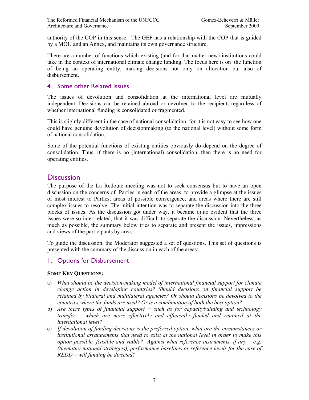authority of the COP in this sense. The GEF has a relationship with the COP that is guided by a MOU and an Annex, and maintains its own governance structure.

There are a number of functions which existing (and for that matter new) institutions could take in the context of international climate change funding. The focus here is on the function of being an operating entity, making decisions not only on allocation but also of disbursement.

#### 4. Some other Related Issues

The issues of devolution and consolidation at the international level are mutually independent. Decisions can be retained abroad or devolved to the recipient, regardless of whether international funding is consolidated or fragmented.

This is slightly different in the case of national consolidation, for it is not easy to see how one could have genuine devolution of decisionmaking (to the national level) without some form of national consolidation.

Some of the potential functions of existing entities obviously do depend on the degree of consolidation. Thus, if there is no (international) consolidation, then there is no need for operating entities.

# **Discussion**

The purpose of the La Redoute meeting was not to seek consensus but to have an open discussion on the concerns of Parties in each of the areas, to provide a glimpse at the issues of most interest to Parties, areas of possible convergence, and areas where there are still complex issues to resolve. The initial intention was to separate the discussion into the three blocks of issues. As the discussion got under way, it became quite evident that the three issues were so inter-related, that it was difficult to separate the discussion. Nevertheless, as much as possible, the summary below tries to separate and present the issues, impressions and views of the participants by area.

To guide the discussion, the Moderator suggested a set of questions. This set of questions is presented with the summary of the discussion in each of the areas:

# 1. Options for Disbursement

#### **SOME KEY QUESTIONS:**

- a) *What should be the decision-making model of international financial support for climate change action in developing countries? Should decisions on financial support be retained by bilateral and multilateral agencies? Or should decisions be devolved to the countries where the funds are used? Or is a combination of both the best option?*
- b) *Are there types of financial support − such as for capacitybuilding and technology transfer – which are more effectively and efficiently funded and retained at the international level?*
- c) *If devolution of funding decisions is the preferred option, what are the circumstances or institutional arrangements that need to exist at the national level in order to make this option possible, feasible and viable? Against what reference instruments, if any – e.g. (thematic) national strategies), performance baselines or reference levels for the case of REDD – will funding be directed?*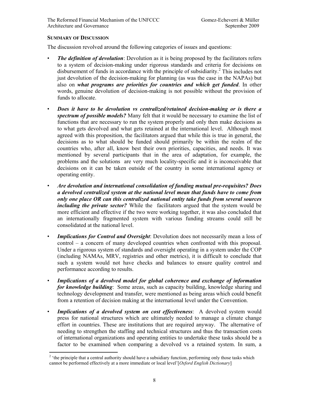#### **SUMMARY OF DISCUSSION**

The discussion revolved around the following categories of issues and questions:

- *The definition of devolution*: Devolution as it is being proposed by the facilitators refers to a system of decision-making under rigorous standards and criteria for decisions on disbursement of funds in accordance with the principle of subsidiarity.<sup>2</sup> This includes not just devolution of the decision-making for planning (as was the case in the NAPAs) but also on *what programs are priorities for countries and which get funded*. In other words, genuine devolution of decision-making is not possible without the provision of funds to allocate.
- *Does it have to be devolution vs centralized/retained decision-making or is there a spectrum of possible models?* Many felt that it would be necessary to examine the list of functions that are necessary to run the system properly and only then make decisions as to what gets devolved and what gets retained at the international level. Although most agreed with this proposition, the facilitators argued that while this is true in general, the decisions as to what should be funded should primarily be within the realm of the countries who, after all, know best their own priorities, capacities, and needs. It was mentioned by several participants that in the area of adaptation, for example, the problems and the solutions are very much locality-specific and it is inconceivable that decisions on it can be taken outside of the country in some international agency or operating entity.
- *Are devolution and international consolidation of funding mutual pre-requisites? Does a devolved centralized system at the national level mean that funds have to come from only one place OR can this centralized national entity take funds from several sources including the private sector?* While the facilitators argued that the system would be more efficient and effective if the two were working together, it was also concluded that an internationally fragmented system with various funding streams could still be consolidated at the national level.
- *Implications for Control and Oversight*: Devolution does not necessarily mean a loss of control – a concern of many developed countries when confronted with this proposal. Under a rigorous system of standards and oversight operating in a system under the COP (including NAMAs, MRV, registries and other metrics), it is difficult to conclude that such a system would not have checks and balances to ensure quality control and performance according to results.
- *Implications of a devolved model for global coherence and exchange of information for knowledge building*: Some areas, such as capacity building, knowledge sharing and technology development and transfer, were mentioned as being areas which could benefit from a retention of decision making at the international level under the Convention.
- *Implications of a devolved system on cost effectiveness*: A devolved system would press for national structures which are ultimately needed to manage a climate change effort in countries. These are institutions that are required anyway. The alternative of needing to strengthen the staffing and technical structures and thus the transaction costs of international organizations and operating entities to undertake these tasks should be a factor to be examined when comparing a devolved vs a retained system. In sum, a

 $\overline{a}$  $2<sup>2</sup>$  'the principle that a central authority should have a subsidiary function, performing only those tasks which cannot be performed effectively at a more immediate or local level'[*Oxford English Dictionary*]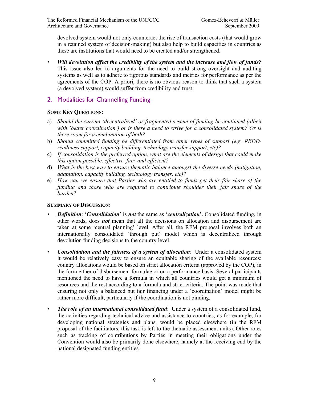devolved system would not only counteract the rise of transaction costs (that would grow in a retained system of decision-making) but also help to build capacities in countries as these are institutions that would need to be created and/or strengthened.

- *Will devolution affect the credibility of the system and the increase and flow of funds?* This issue also led to arguments for the need to build strong oversight and auditing systems as well as to adhere to rigorous standards and metrics for performance as per the agreements of the COP. A priori, there is no obvious reason to think that such a system (a devolved system) would suffer from credibility and trust.
- 2. Modalities for Channelling Funding

#### **SOME KEY QUESTIONS:**

- a) *Should the current 'decentralized' or fragmented system of funding be continued (albeit with 'better coordination') or is there a need to strive for a consolidated system? Or is there room for a combination of both?*
- b) *Should committed funding be differentiated from other types of support (e.g. REDDreadiness support, capacity building, technology transfer support, etc)?*
- c) *If consolidation is the preferred option, what are the elements of design that could make this option possible, effective, fair, and efficient?*
- d) *What is the best way to ensure thematic balance amongst the diverse needs (mitigation, adaptation, capacity building, technology transfer, etc)?*
- e) *How can we ensure that Parties who are entitled to funds get their fair share of the funding and those who are required to contribute shoulder their fair share of the burden?*

#### **SUMMARY OF DISCUSSION:**

- *Definition*: '*Consolidation*' is *not* the same as '*centralization*'. Consolidated funding, in other words, does *not* mean that all the decisions on allocation and disbursement are taken at some 'central planning' level. After all, the RFM proposal involves both an internationally consolidated 'through put' model which is decentralized through devolution funding decisions to the country level.
- *Consolidation and the fairness of a system of allocation*: Under a consolidated system it would be relatively easy to ensure an equitable sharing of the available resources: country allocations would be based on strict allocation criteria (approved by the COP), in the form either of disbursement formulae or on a performance basis. Several participants mentioned the need to have a formula in which all countries would get a minimum of resources and the rest according to a formula and strict criteria. The point was made that ensuring not only a balanced but fair financing under a 'coordination' model might be rather more difficult, particularly if the coordination is not binding.
- *The role of an international consolidated fund*: Under a system of a consolidated fund, the activities regarding technical advice and assistance to countries, as for example, for developing national strategies and plans, would be placed elsewhere (in the RFM proposal of the facilitators, this task is left to the thematic assessment units). Other roles such as tracking of contributions by Parties in meeting their obligations under the Convention would also be primarily done elsewhere, namely at the receiving end by the national designated funding entities.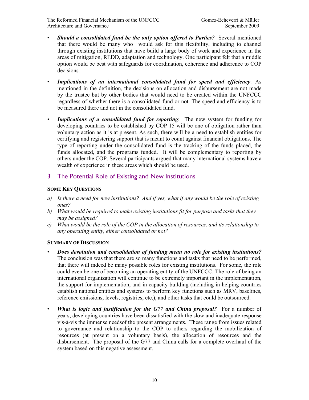- *Should a consolidated fund be the only option offered to Parties?* Several mentioned that there would be many who would ask for this flexibility, including to channel through existing institutions that have build a large body of work and experience in the areas of mitigation, REDD, adaptation and technology. One participant felt that a middle option would be best with safeguards for coordination, coherence and adherence to COP decisions.
- *Implications of an international consolidated fund for speed and efficiency*: As mentioned in the definition, the decisions on allocation and disbursement are not made by the trustee but by other bodies that would need to be created within the UNFCCC regardless of whether there is a consolidated fund or not. The speed and efficiency is to be measured there and not in the consolidated fund.
- *Implications of a consolidated fund for reporting*: The new system for funding for developing countries to be established by COP 15 will be one of obligation rather than voluntary action as it is at present. As such, there will be a need to establish entities for certifying and registering support that is meant to count against financial obligations. The type of reporting under the consolidated fund is the tracking of the funds placed, the funds allocated, and the programs funded. It will be complementary to reporting by others under the COP. Several participants argued that many international systems have a wealth of experience in these areas which should be used.

#### 3 The Potential Role of Existing and New Institutions

#### **SOME KEY QUESTIONS**

- *a) Is there a need for new institutions? And if yes, what if any would be the role of existing ones?*
- *b) What would be required to make existing institutions fit for purpose and tasks that they may be assigned?*
- *c) What would be the role of the COP in the allocation of resources, and its relationship to any operating entity, either consolidated or not?*

#### **SUMMARY OF DISCUSSION**

- *Does devolution and consolidation of funding mean no role for existing institutions?* The conclusion was that there are so many functions and tasks that need to be performed, that there will indeed be many possible roles for existing institutions. For some, the role could even be one of becoming an operating entity of the UNFCCC. The role of being an international organization will continue to be extremely important in the implementation, the support for implementation, and in capacity building (including in helping countries establish national entities and systems to perform key functions such as MRV, baselines, reference emissions, levels, registries, etc.), and other tasks that could be outsourced.
- *What is logic and justification for the G77 and China proposal?* For a number of years, developing countries have been dissatisfied with the slow and inadequate response vis-à-vis the immense needsof the present arrangements. These range from issues related to governance and relationship to the COP to others regarding the mobilization of resources (at present on a voluntary basis), the allocation of resources and the disbursement. The proposal of the G77 and China calls for a complete overhaul of the system based on this negative assessment.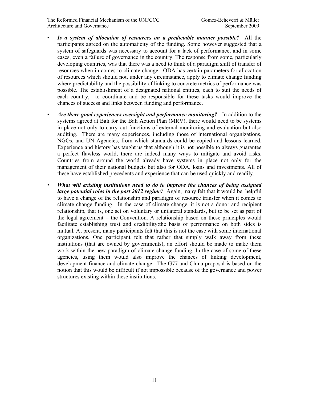The Reformed Financial Mechanism of the UNFCCC Gomez-Echeverri & Müller Architecture and Governance September 2009

- *Is a system of allocation of resources on a predictable manner possible?* All the participants agreed on the automaticity of the funding. Some however suggested that a system of safeguards was necessary to account for a lack of performance, and in some cases, even a failure of governance in the country. The response from some, particularly developing countries, was that there was a need to think of a paradigm shift of transfer of resources when in comes to climate change. ODA has certain parameters for allocation of resources which should not, under any circumstance, apply to climate change funding where predictability and the possibility of linking to concrete metrics of performance was possible. The establishment of a designated national entities, each to suit the needs of each country, to coordinate and be responsible for these tasks would improve the chances of success and links between funding and performance.
- *Are there good experiences oversight and performance monitoring?* In addition to the systems agreed at Bali for the Bali Action Plan (MRV), there would need to be systems in place not only to carry out functions of external monitoring and evaluation but also auditing. There are many experiences, including those of international organizations, NGOs, and UN Agencies, from which standards could be copied and lessons learned. Experience and history has taught us that although it is not possible to always guarantee a perfect flawless world, there are indeed many ways to mitigate and avoid risks. Countries from around the world already have systems in place not only for the management of their national budgets but also for ODA, loans and investments. All of these have established precedents and experience that can be used quickly and readily.
- *What will existing institutions need to do to improve the chances of being assigned large potential roles in the post 2012 regime?* Again, many felt that it would be helpful to have a change of the relationship and paradigm of resource transfer when it comes to climate change funding. In the case of climate change, it is not a donor and recipient relationship, that is, one set on voluntary or unilateral standards, but to be set as part of the legal agreement – the Convention. A relationship based on these principles would facilitate establishing trust and credibility:the basis of performance on both sides is mutual. At present, many participants felt that this is not the case with some international organizations. One participant felt that rather that simply walk away from these institutions (that are owned by governments), an effort should be made to make them work within the new paradigm of climate change funding. In the case of some of these agencies, using them would also improve the chances of linking development, development finance and climate change. The G77 and China proposal is based on the notion that this would be difficult if not impossible because of the governance and power structures existing within these institutions.